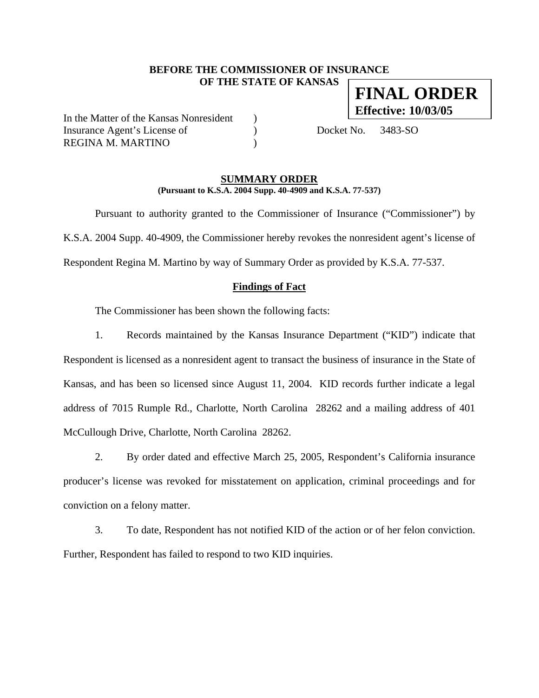### **BEFORE THE COMMISSIONER OF INSURANCE OF THE STATE OF KANSAS FINAL ORDER**

In the Matter of the Kansas Nonresident ) Insurance Agent's License of (a) Docket No. 3483-SO REGINA M. MARTINO )

**Effective: 10/03/05**

#### **SUMMARY ORDER (Pursuant to K.S.A. 2004 Supp. 40-4909 and K.S.A. 77-537)**

 Pursuant to authority granted to the Commissioner of Insurance ("Commissioner") by K.S.A. 2004 Supp. 40-4909, the Commissioner hereby revokes the nonresident agent's license of Respondent Regina M. Martino by way of Summary Order as provided by K.S.A. 77-537.

#### **Findings of Fact**

The Commissioner has been shown the following facts:

1. Records maintained by the Kansas Insurance Department ("KID") indicate that Respondent is licensed as a nonresident agent to transact the business of insurance in the State of Kansas, and has been so licensed since August 11, 2004. KID records further indicate a legal address of 7015 Rumple Rd., Charlotte, North Carolina 28262 and a mailing address of 401 McCullough Drive, Charlotte, North Carolina 28262.

2. By order dated and effective March 25, 2005, Respondent's California insurance producer's license was revoked for misstatement on application, criminal proceedings and for conviction on a felony matter.

3. To date, Respondent has not notified KID of the action or of her felon conviction. Further, Respondent has failed to respond to two KID inquiries.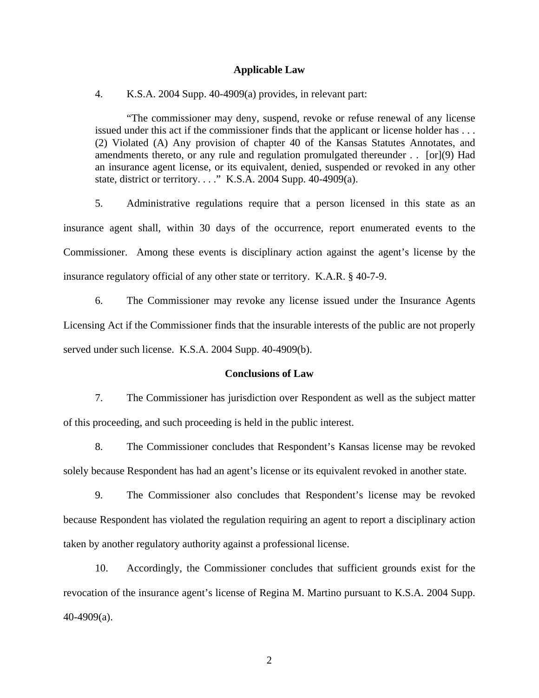#### **Applicable Law**

4. K.S.A. 2004 Supp. 40-4909(a) provides, in relevant part:

"The commissioner may deny, suspend, revoke or refuse renewal of any license issued under this act if the commissioner finds that the applicant or license holder has . . . (2) Violated (A) Any provision of chapter 40 of the Kansas Statutes Annotates, and amendments thereto, or any rule and regulation promulgated thereunder . . [or](9) Had an insurance agent license, or its equivalent, denied, suspended or revoked in any other state, district or territory. . . ." K.S.A. 2004 Supp. 40-4909(a).

5. Administrative regulations require that a person licensed in this state as an insurance agent shall, within 30 days of the occurrence, report enumerated events to the Commissioner. Among these events is disciplinary action against the agent's license by the insurance regulatory official of any other state or territory. K.A.R. § 40-7-9.

6. The Commissioner may revoke any license issued under the Insurance Agents Licensing Act if the Commissioner finds that the insurable interests of the public are not properly served under such license. K.S.A. 2004 Supp. 40-4909(b).

#### **Conclusions of Law**

7. The Commissioner has jurisdiction over Respondent as well as the subject matter of this proceeding, and such proceeding is held in the public interest.

8. The Commissioner concludes that Respondent's Kansas license may be revoked solely because Respondent has had an agent's license or its equivalent revoked in another state.

9. The Commissioner also concludes that Respondent's license may be revoked because Respondent has violated the regulation requiring an agent to report a disciplinary action taken by another regulatory authority against a professional license.

10. Accordingly, the Commissioner concludes that sufficient grounds exist for the revocation of the insurance agent's license of Regina M. Martino pursuant to K.S.A. 2004 Supp. 40-4909(a).

2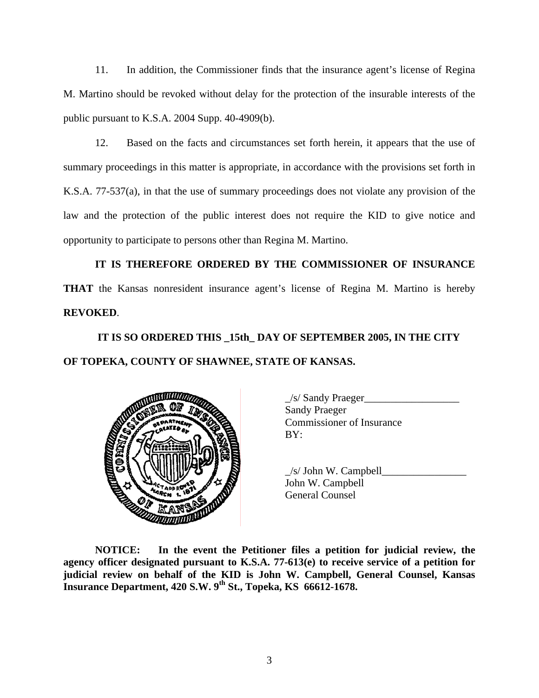11. In addition, the Commissioner finds that the insurance agent's license of Regina M. Martino should be revoked without delay for the protection of the insurable interests of the public pursuant to K.S.A. 2004 Supp. 40-4909(b).

12. Based on the facts and circumstances set forth herein, it appears that the use of summary proceedings in this matter is appropriate, in accordance with the provisions set forth in K.S.A. 77-537(a), in that the use of summary proceedings does not violate any provision of the law and the protection of the public interest does not require the KID to give notice and opportunity to participate to persons other than Regina M. Martino.

**IT IS THEREFORE ORDERED BY THE COMMISSIONER OF INSURANCE THAT** the Kansas nonresident insurance agent's license of Regina M. Martino is hereby **REVOKED**.

# **IT IS SO ORDERED THIS \_15th\_ DAY OF SEPTEMBER 2005, IN THE CITY OF TOPEKA, COUNTY OF SHAWNEE, STATE OF KANSAS.**



 \_/s/ Sandy Praeger\_\_\_\_\_\_\_\_\_\_\_\_\_\_\_\_\_\_ Sandy Praeger Commissioner of Insurance

 $/s/$  John W. Campbell John W. Campbell

**NOTICE: In the event the Petitioner files a petition for judicial review, the agency officer designated pursuant to K.S.A. 77-613(e) to receive service of a petition for judicial review on behalf of the KID is John W. Campbell, General Counsel, Kansas Insurance Department, 420 S.W. 9th St., Topeka, KS 66612-1678.**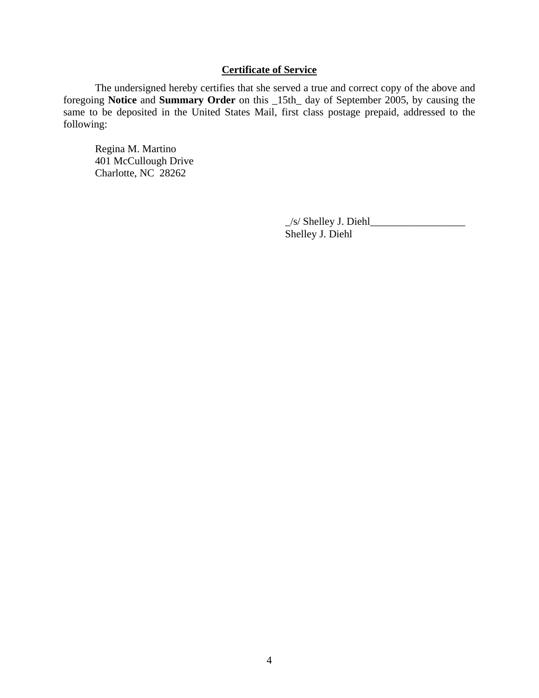# **Certificate of Service**

 The undersigned hereby certifies that she served a true and correct copy of the above and foregoing **Notice** and **Summary Order** on this \_15th\_ day of September 2005, by causing the same to be deposited in the United States Mail, first class postage prepaid, addressed to the following:

 Regina M. Martino 401 McCullough Drive Charlotte, NC 28262

> $\angle$ s/ Shelley J. Diehl $\angle$ Shelley J. Diehl